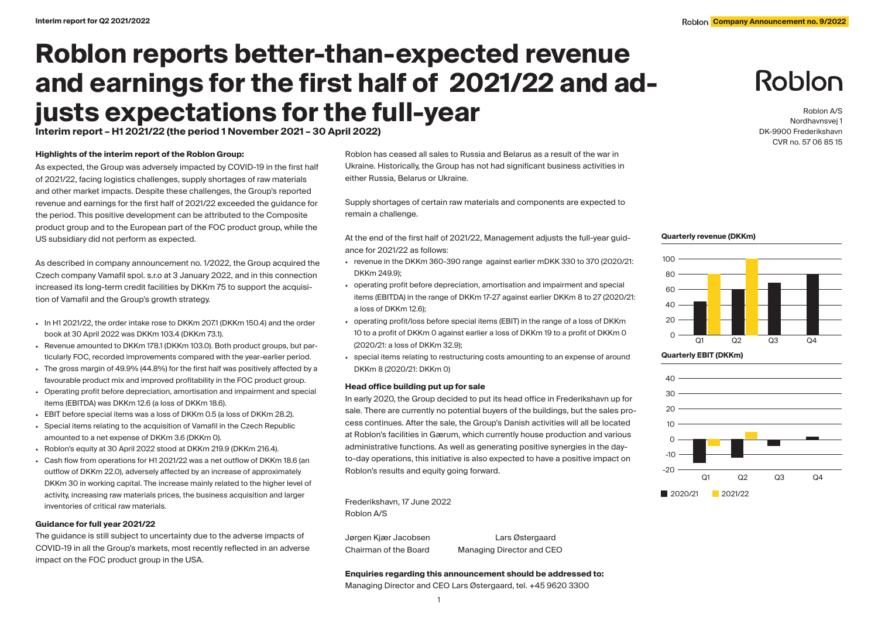# **Roblon reports better-than-expected revenue and earnings for the first half of 2021/22 and adjusts expectations for the full-year**

**Interim report – H1 2021/22 (the period 1 November 2021 – 30 April 2022)**

### **Highlights of the interim report of the Roblon Group:**

As expected, the Group was adversely impacted by COVID-19 in the first half of 2021/22, facing logistics challenges, supply shortages of raw materials and other market impacts. Despite these challenges, the Group's reported revenue and earnings for the first half of 2021/22 exceeded the guidance for the period. This positive development can be attributed to the Composite product group and to the European part of the FOC product group, while the US subsidiary did not perform as expected.

As described in company announcement no. 1/2022, the Group acquired the Czech company Vamafil spol. s.r.o at 3 January 2022, and in this connection increased its long-term credit facilities by DKKm 75 to support the acquisition of Vamafil and the Group's growth strategy.

- $\bullet$  In H1 2021/22, the order intake rose to DKKm 2071 (DKKm 150.4) and the order book at 30 April 2022 was DKKm 103.4 (DKKm 73.1).
- Revenue amounted to DKKm 178.1 (DKKm 103.0). Both product groups, but particularly FOC, recorded improvements compared with the year-earlier period.
- The gross margin of 49.9% (44.8%) for the first half was positively affected by a favourable product mix and improved profitability in the FOC product group.
- Operating profit before depreciation, amortisation and impairment and special items (EBITDA) was DKKm 12.6 (a loss of DKKm 18.6).
- EBIT before special items was a loss of DKKm 0.5 (a loss of DKKm 28.2).
- Special items relating to the acquisition of Vamafil in the Czech Republic amounted to a net expense of DKKm 3.6 (DKKm 0).
- Roblon's equity at 30 April 2022 stood at DKKm 219.9 (DKKm 216.4).
- Cash flow from operations for H1 2021/22 was a net outflow of DKKm 18.6 (an outflow of DKKm 22.0), adversely affected by an increase of approximately DKKm 30 in working capital. The increase mainly related to the higher level of activity, increasing raw materials prices, the business acquisition and larger inventories of critical raw materials.

#### **Guidance for full year 2021/22**

The guidance is still subject to uncertainty due to the adverse impacts of COVID-19 in all the Group's markets, most recently reflected in an adverse impact on the FOC product group in the USA.

Roblon has ceased all sales to Russia and Belarus as a result of the war in Ukraine. Historically, the Group has not had significant business activities in either Russia, Belarus or Ukraine.

Supply shortages of certain raw materials and components are expected to remain a challenge.

At the end of the first half of 2021/22, Management adjusts the full-year guidance for 2021/22 as follows:

- revenue in the DKKm 360-390 range against earlier mDKK 330 to 370 (2020/21: DKKm 249.9);
- operating profit before depreciation, amortisation and impairment and special items (EBITDA) in the range of DKKm 17-27 against earlier DKKm 8 to 27 (2020/21: a loss of DKKm 12.6);
- operating profit/loss before special items (EBIT) in the range of a loss of DKKm 10 to a profit of DKKm 0 against earlier a loss of DKKm 19 to a profit of DKKm 0 (2020/21: a loss of DKKm 32.9);
- special items relating to restructuring costs amounting to an expense of around DKKm 8 (2020/21: DKKm 0)

# **Head office building put up for sale**

In early 2020, the Group decided to put its head office in Frederikshavn up for sale. There are currently no potential buyers of the buildings, but the sales process continues. After the sale, the Group's Danish activities will all be located at Roblon's facilities in Gærum, which currently house production and various administrative functions. As well as generating positive synergies in the dayto-day operations, this initiative is also expected to have a positive impact on Roblon's results and equity going forward.

Frederikshavn, 17 June 2022 Roblon A/S

Jørgen Kjær Jacobsen Lars Østergaard Chairman of the Board Managing Director and CEO

# Roblon

Roblon A/S Nordhavnsvej 1 DK-9900 Frederikshavn CVR no. 57 06 85 15

#### **Quarterly revenue (DKKm)**





# **Enquiries regarding this announcement should be addressed to:**

Managing Director and CEO Lars Østergaard, tel. +45 9620 3300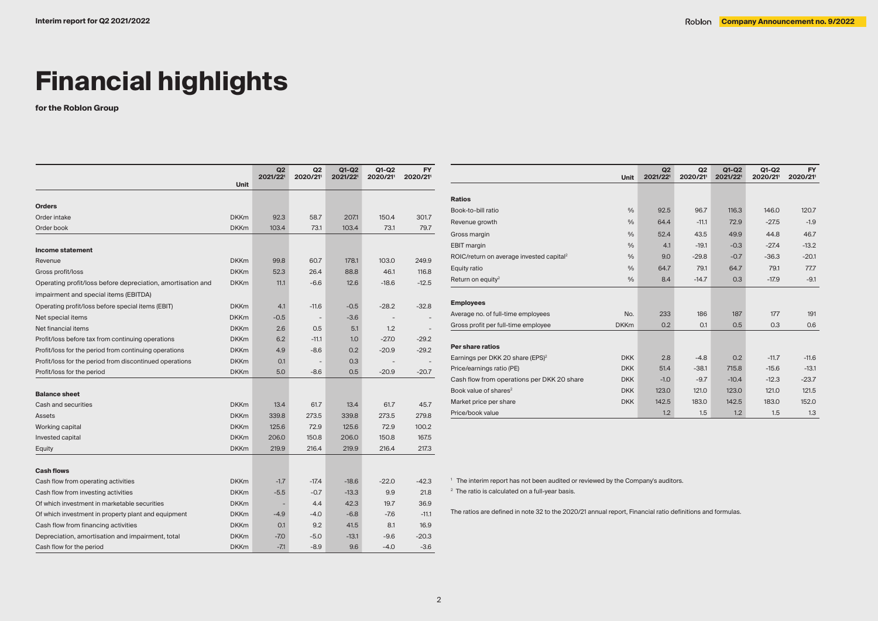# **Financial highlights**

**for the Roblon Group**

|                                                             |             | Q2<br>2021/221 | Q <sub>2</sub><br>2020/21 | $Q1-Q2$<br>2021/221 | Q1-Q2<br>2020/21 | <b>FY</b><br>2020/21 |
|-------------------------------------------------------------|-------------|----------------|---------------------------|---------------------|------------------|----------------------|
|                                                             | <b>Unit</b> |                |                           |                     |                  |                      |
| <b>Orders</b>                                               |             |                |                           |                     |                  |                      |
| Order intake                                                | <b>DKKm</b> | 92.3           | 58.7                      | 207.1               | 150.4            | 301.7                |
| Order book                                                  | <b>DKKm</b> | 103.4          | 73.1                      | 103.4               | 73.1             | 79.7                 |
|                                                             |             |                |                           |                     |                  |                      |
| Income statement                                            |             |                |                           |                     |                  |                      |
| Revenue                                                     | <b>DKKm</b> | 99.8           | 60.7                      | 178.1               | 103.0            | 249.9                |
| Gross profit/loss                                           | <b>DKKm</b> | 52.3           | 26.4                      | 88.8                | 46.1             | 116.8                |
| Operating profit/loss before depreciation, amortisation and | <b>DKKm</b> | 11.1           | $-6.6$                    | 12.6                | $-18.6$          | $-12.5$              |
| impairment and special items (EBITDA)                       |             |                |                           |                     |                  |                      |
| Operating profit/loss before special items (EBIT)           | <b>DKKm</b> | 4.1            | $-11.6$                   | $-0.5$              | $-28.2$          | $-32.8$              |
| Net special items                                           | <b>DKKm</b> | $-0.5$         |                           | $-3.6$              |                  |                      |
| Net financial items                                         | <b>DKKm</b> | 2.6            | 0.5                       | 5.1                 | 1.2              |                      |
| Profit/loss before tax from continuing operations           | <b>DKKm</b> | 6.2            | $-11.1$                   | 1.0                 | $-27.0$          | $-29.2$              |
| Profit/loss for the period from continuing operations       | <b>DKKm</b> | 4.9            | $-8.6$                    | 0.2                 | $-20.9$          | $-29.2$              |
| Profit/loss for the period from discontinued operations     | <b>DKKm</b> | 0.1            |                           | 0.3                 |                  |                      |
| Profit/loss for the period                                  | <b>DKKm</b> | 5.0            | $-8.6$                    | 0.5                 | $-20.9$          | $-20.7$              |
|                                                             |             |                |                           |                     |                  |                      |
| <b>Balance sheet</b>                                        |             |                |                           |                     |                  |                      |
| Cash and securities                                         | <b>DKKm</b> | 13.4           | 61.7                      | 13.4                | 61.7             | 45.7                 |
| <b>Assets</b>                                               | <b>DKKm</b> | 339.8          | 273.5                     | 339.8               | 273.5            | 279.8                |
| Working capital                                             | <b>DKKm</b> | 125.6          | 72.9                      | 125.6               | 72.9             | 100.2                |
| Invested capital                                            | <b>DKKm</b> | 206.0          | 150.8                     | 206.0               | 150.8            | 167.5                |
| Equity                                                      | <b>DKKm</b> | 219.9          | 216.4                     | 219.9               | 216.4            | 217.3                |
|                                                             |             |                |                           |                     |                  |                      |
| <b>Cash flows</b>                                           |             |                |                           |                     |                  |                      |
| Cash flow from operating activities                         | <b>DKKm</b> | $-1.7$         | $-17.4$                   | $-18.6$             | $-22.0$          | $-42.3$              |
| Cash flow from investing activities                         | <b>DKKm</b> | $-5.5$         | $-0.7$                    | $-13.3$             | 9.9              | 21.8                 |
| Of which investment in marketable securities                | <b>DKKm</b> |                | 4.4                       | 42.3                | 19.7             | 36.9                 |
| Of which investment in property plant and equipment         | <b>DKKm</b> | $-4.9$         | $-4.0$                    | $-6.8$              | $-7.6$           | $-11.1$              |
| Cash flow from financing activities                         | <b>DKKm</b> | 0.1            | 9.2                       | 41.5                | 8.1              | 16.9                 |
| Depreciation, amortisation and impairment, total            | <b>DKKm</b> | $-7.0$         | $-5.0$                    | $-13.1$             | $-9.6$           | $-20.3$              |
| Cash flow for the period                                    | <b>DKKm</b> | $-7.1$         | $-8.9$                    | 9.6                 | $-4.0$           | $-3.6$               |

|                                                      | <b>Unit</b>   | Q2<br>2021/221 | Q2<br>2020/21 | $Q1-Q2$<br>2021/221 | $Q1-Q2$<br>2020/21 | <b>FY</b><br>2020/21 |
|------------------------------------------------------|---------------|----------------|---------------|---------------------|--------------------|----------------------|
|                                                      |               |                |               |                     |                    |                      |
| <b>Ratios</b>                                        |               |                |               |                     |                    |                      |
| Book-to-bill ratio                                   | $\frac{0}{0}$ | 92.5           | 96.7          | 116.3               | 146.0              | 120.7                |
| Revenue growth                                       | $\frac{0}{0}$ | 64.4           | $-11.1$       | 72.9                | $-27.5$            | $-1.9$               |
| Gross margin                                         | $\frac{0}{0}$ | 52.4           | 43.5          | 49.9                | 44.8               | 46.7                 |
| <b>EBIT</b> margin                                   | $\frac{0}{0}$ | 4.1            | $-19.1$       | $-0.3$              | $-27.4$            | $-13.2$              |
| ROIC/return on average invested capital <sup>2</sup> | $\frac{0}{0}$ | 9.0            | $-29.8$       | $-0.7$              | $-36.3$            | $-20.1$              |
| Equity ratio                                         | $\frac{0}{0}$ | 64.7           | 79.1          | 64.7                | 79.1               | 77.7                 |
| Return on equity <sup>2</sup>                        | $\frac{0}{0}$ | 8.4            | $-14.7$       | 0.3                 | $-17.9$            | $-9.1$               |
|                                                      |               |                |               |                     |                    |                      |
| <b>Employees</b>                                     |               |                |               |                     |                    |                      |
| Average no. of full-time employees                   | No.           | 233            | 186           | 187                 | 177                | 191                  |
| Gross profit per full-time employee                  | <b>DKKm</b>   | 0.2            | 0.1           | 0.5                 | 0.3                | 0.6                  |
| Per share ratios                                     |               |                |               |                     |                    |                      |
| Earnings per DKK 20 share (EPS) <sup>2</sup>         | <b>DKK</b>    | 2.8            | $-4.8$        | 0.2                 | $-11.7$            | $-11.6$              |
| Price/earnings ratio (PE)                            | <b>DKK</b>    | 51.4           | $-38.1$       | 715.8               | $-15.6$            | $-13.1$              |
| Cash flow from operations per DKK 20 share           | <b>DKK</b>    | $-1.0$         | $-9.7$        | $-10.4$             | $-12.3$            | $-23.7$              |
| Book value of shares <sup>2</sup>                    | <b>DKK</b>    | 123.0          | 121.0         | 123.0               | 121.0              | 121.5                |
| Market price per share                               | <b>DKK</b>    | 142.5          | 183.0         | 142.5               | 183.0              | 152.0                |
| Price/book value                                     |               | 1.2            | 1.5           | 1.2                 | 1.5                | 1.3                  |

1 The interim report has not been audited or reviewed by the Company's auditors.

<sup>2</sup> The ratio is calculated on a full-year basis.

The ratios are defined in note 32 to the 2020/21 annual report, Financial ratio definitions and formulas.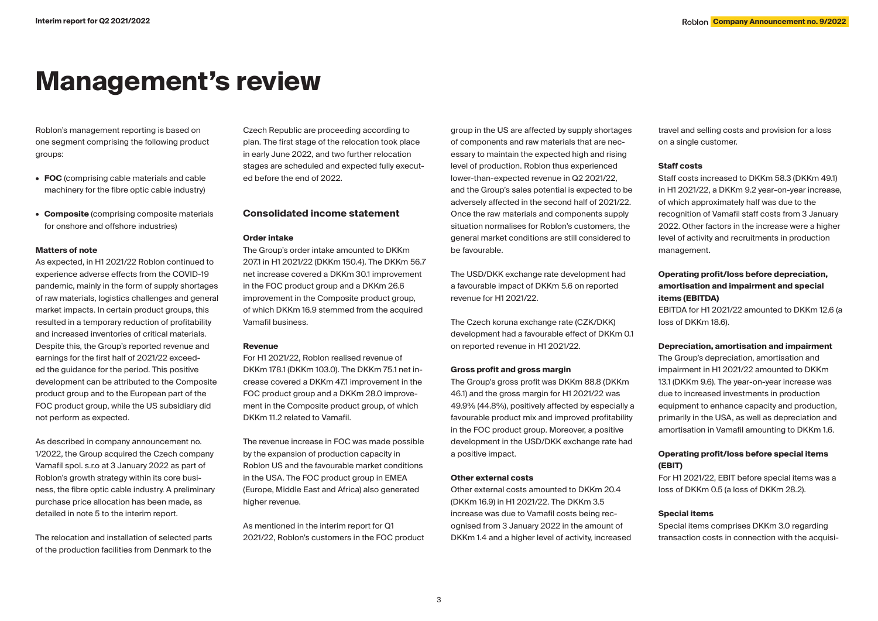# **Management's review**

Roblon's management reporting is based on one segment comprising the following product groups:

- **• FOC** (comprising cable materials and cable machinery for the fibre optic cable industry)
- **• Composite** (comprising composite materials for onshore and offshore industries)

#### **Matters of note**

As expected, in H1 2021/22 Roblon continued to experience adverse effects from the COVID-19 pandemic, mainly in the form of supply shortages of raw materials, logistics challenges and general market impacts. In certain product groups, this resulted in a temporary reduction of profitability and increased inventories of critical materials. Despite this, the Group's reported revenue and earnings for the first half of 2021/22 exceeded the guidance for the period. This positive development can be attributed to the Composite product group and to the European part of the FOC product group, while the US subsidiary did not perform as expected.

As described in company announcement no. 1/2022, the Group acquired the Czech company Vamafil spol. s.r.o at 3 January 2022 as part of Roblon's growth strategy within its core business, the fibre optic cable industry. A preliminary purchase price allocation has been made, as detailed in note 5 to the interim report.

The relocation and installation of selected parts of the production facilities from Denmark to the

Czech Republic are proceeding according to plan. The first stage of the relocation took place in early June 2022, and two further relocation stages are scheduled and expected fully executed before the end of 2022.

# **Consolidated income statement**

#### **Order intake**

The Group's order intake amounted to DKKm 207.1 in H1 2021/22 (DKKm 150.4). The DKKm 56.7 net increase covered a DKKm 30.1 improvement in the FOC product group and a DKKm 26.6 improvement in the Composite product group. of which DKKm 16.9 stemmed from the acquired Vamafil business.

#### **Revenue**

For H1 2021/22, Roblon realised revenue of DKKm 178.1 (DKKm 103.0). The DKKm 75.1 net increase covered a DKKm 47.1 improvement in the FOC product group and a DKKm 28.0 improvement in the Composite product group, of which DKKm 11.2 related to Vamafil.

The revenue increase in FOC was made possible by the expansion of production capacity in Roblon US and the favourable market conditions in the USA. The FOC product group in EMEA (Europe, Middle East and Africa) also generated higher revenue.

As mentioned in the interim report for Q1 2021/22, Roblon's customers in the FOC product

group in the US are affected by supply shortages of components and raw materials that are necessary to maintain the expected high and rising level of production. Roblon thus experienced lower-than-expected revenue in Q2 2021/22, and the Group's sales potential is expected to be adversely affected in the second half of 2021/22. Once the raw materials and components supply situation normalises for Roblon's customers, the general market conditions are still considered to be favourable.

The USD/DKK exchange rate development had a favourable impact of DKKm 5.6 on reported revenue for H1 2021/22.

The Czech koruna exchange rate (CZK/DKK) development had a favourable effect of DKKm 0.1 on reported revenue in H1 2021/22.

#### **Gross profit and gross margin**

The Group's gross profit was DKKm 88.8 (DKKm 46.1) and the gross margin for H1 2021/22 was 49.9% (44.8%), positively affected by especially a favourable product mix and improved profitability in the FOC product group. Moreover, a positive development in the USD/DKK exchange rate had a positive impact.

#### **Other external costs**

Other external costs amounted to DKKm 20.4 (DKKm 16.9) in H1 2021/22. The DKKm 3.5 increase was due to Vamafil costs being recognised from 3 January 2022 in the amount of DKKm 1.4 and a higher level of activity, increased

travel and selling costs and provision for a loss on a single customer.

### **Staff costs**

Staff costs increased to DKKm 58.3 (DKKm 49.1) in H1 2021/22, a DKKm 9.2 year-on-year increase, of which approximately half was due to the recognition of Vamafil staff costs from 3 January 2022. Other factors in the increase were a higher level of activity and recruitments in production management.

# **Operating profit/loss before depreciation, amortisation and impairment and special items (EBITDA)**

EBITDA for H1 2021/22 amounted to DKKm 12.6 (a loss of DKKm 18.6).

#### **Depreciation, amortisation and impairment**

The Group's depreciation, amortisation and impairment in H1 2021/22 amounted to DKKm 13.1 (DKKm 9.6). The year-on-year increase was due to increased investments in production equipment to enhance capacity and production, primarily in the USA, as well as depreciation and amortisation in Vamafil amounting to DKKm 1.6.

# **Operating profit/loss before special items (EBIT)**

For H1 2021/22, EBIT before special items was a loss of DKKm 0.5 (a loss of DKKm 28.2).

#### **Special items**

Special items comprises DKKm 3.0 regarding transaction costs in connection with the acquisi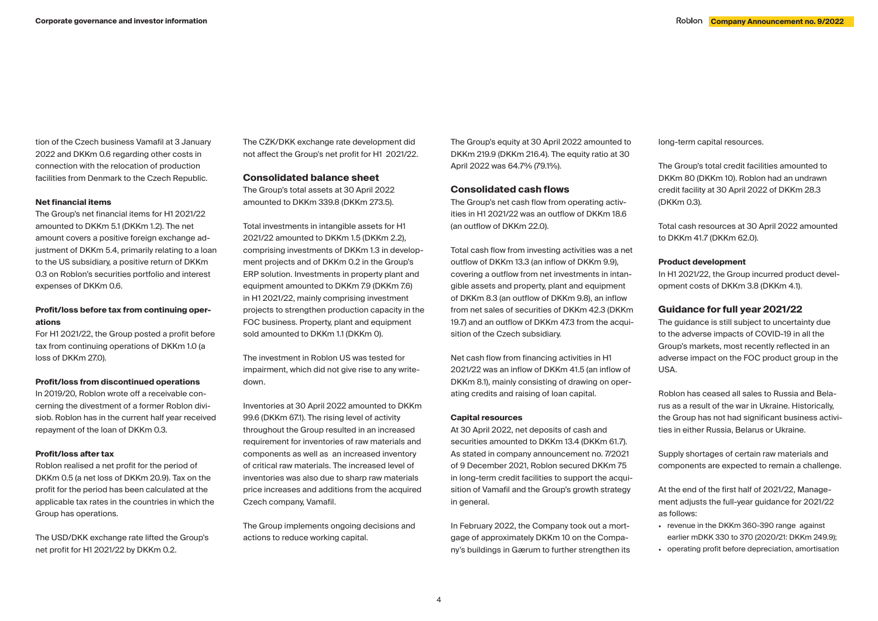tion of the Czech business Vamafil at 3 January 2022 and DKKm 0.6 regarding other costs in connection with the relocation of production facilities from Denmark to the Czech Republic.

#### **Net financial items**

The Group's net financial items for H1 2021/22 amounted to DKKm 5.1 (DKKm 1.2). The net amount covers a positive foreign exchange adjustment of DKKm 5.4, primarily relating to a loan to the US subsidiary, a positive return of DKKm 0.3 on Roblon's securities portfolio and interest expenses of DKKm 0.6.

# **Profit/loss before tax from continuing operations**

For H1 2021/22, the Group posted a profit before tax from continuing operations of DKKm 1.0 (a loss of DKKm 27.0).

## **Profit/loss from discontinued operations**

In 2019/20, Roblon wrote off a receivable concerning the divestment of a former Roblon divisiob. Roblon has in the current half year received repayment of the loan of DKKm 0.3.

### **Profit/loss after tax**

Roblon realised a net profit for the period of DKKm 0.5 (a net loss of DKKm 20.9). Tax on the profit for the period has been calculated at the applicable tax rates in the countries in which the Group has operations.

The USD/DKK exchange rate lifted the Group's net profit for H1 2021/22 by DKKm 0.2.

The CZK/DKK exchange rate development did not affect the Group's net profit for H1 2021/22.

**Consolidated balance sheet**

The Group's total assets at 30 April 2022 amounted to DKKm 339.8 (DKKm 273.5).

Total investments in intangible assets for H1 2021/22 amounted to DKKm 1.5 (DKKm 2.2), comprising investments of DKKm 1.3 in development projects and of DKKm 0.2 in the Group's ERP solution. Investments in property plant and equipment amounted to DKKm 7.9 (DKKm 7.6) in H1 2021/22, mainly comprising investment projects to strengthen production capacity in the FOC business. Property, plant and equipment sold amounted to DKKm 1.1 (DKKm 0).

The investment in Roblon US was tested for impairment, which did not give rise to any writedown.

Inventories at 30 April 2022 amounted to DKKm 99.6 (DKKm 67.1). The rising level of activity throughout the Group resulted in an increased requirement for inventories of raw materials and components as well as an increased inventory of critical raw materials. The increased level of inventories was also due to sharp raw materials price increases and additions from the acquired Czech company, Vamafil.

The Group implements ongoing decisions and actions to reduce working capital.

The Group's equity at 30 April 2022 amounted to DKKm 219.9 (DKKm 216.4). The equity ratio at 30 April 2022 was 64.7% (79.1%).

# **Consolidated cash flows**

The Group's net cash flow from operating activities in H1 2021/22 was an outflow of DKKm 18.6 (an outflow of DKKm 22.0).

Total cash flow from investing activities was a net outflow of DKKm 13.3 (an inflow of DKKm 9.9), covering a outflow from net investments in intangible assets and property, plant and equipment of DKKm 8.3 (an outflow of DKKm 9.8), an inflow from net sales of securities of DKKm 42.3 (DKKm 19.7) and an outflow of DKKm 47.3 from the acquisition of the Czech subsidiary.

Net cash flow from financing activities in H1 2021/22 was an inflow of DKKm 41.5 (an inflow of DKKm 8.1), mainly consisting of drawing on operating credits and raising of loan capital.

### **Capital resources**

At 30 April 2022, net deposits of cash and securities amounted to DKKm 13.4 (DKKm 61.7). As stated in company announcement no. 7/2021 of 9 December 2021, Roblon secured DKKm 75 in long-term credit facilities to support the acquisition of Vamafil and the Group's growth strategy in general.

In February 2022, the Company took out a mortgage of approximately DKKm 10 on the Company's buildings in Gærum to further strengthen its long-term capital resources.

The Group's total credit facilities amounted to DKKm 80 (DKKm 10). Roblon had an undrawn credit facility at 30 April 2022 of DKKm 28.3 (DKKm 0.3).

Total cash resources at 30 April 2022 amounted to DKKm 41.7 (DKKm 62.0).

#### **Product development**

In H1 2021/22, the Group incurred product development costs of DKKm 3.8 (DKKm 4.1).

# **Guidance for full year 2021/22**

The quidance is still subject to uncertainty due to the adverse impacts of COVID-19 in all the Group's markets, most recently reflected in an adverse impact on the FOC product group in the USA.

Roblon has ceased all sales to Russia and Belarus as a result of the war in Ukraine. Historically, the Group has not had significant business activities in either Russia, Belarus or Ukraine.

Supply shortages of certain raw materials and components are expected to remain a challenge.

At the end of the first half of 2021/22, Management adjusts the full-year guidance for 2021/22 as follows:

- revenue in the DKKm 360-390 range against earlier mDKK 330 to 370 (2020/21: DKKm 249.9);
- operating profit before depreciation, amortisation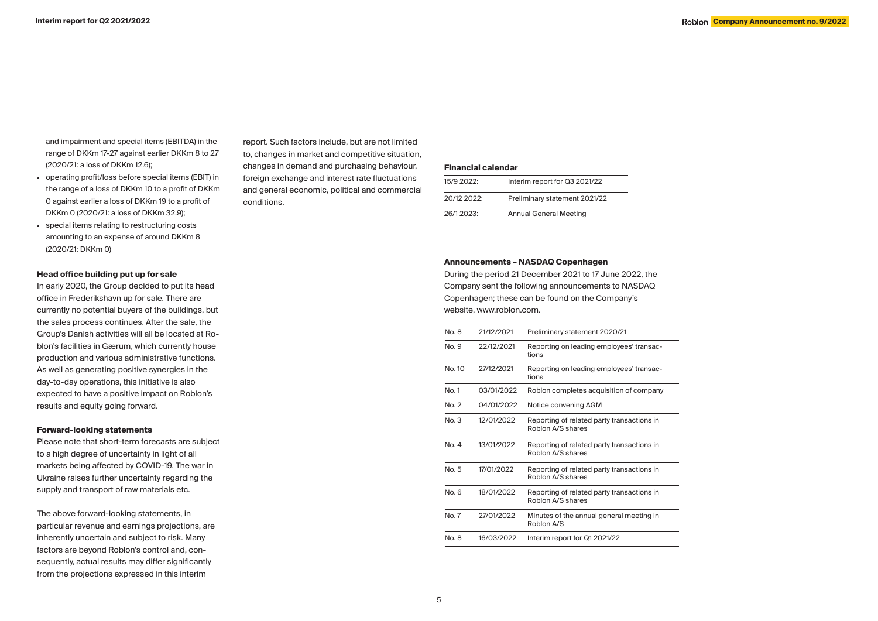and impairment and special items (EBITDA) in the range of DKKm 17-27 against earlier DKKm 8 to 27 (2020/21: a loss of DKKm 12.6);

- operating profit/loss before special items (EBIT) in the range of a loss of DKKm 10 to a profit of DKKm 0 against earlier a loss of DKKm 19 to a profit of DKKm 0 (2020/21: a loss of DKKm 32.9);
- special items relating to restructuring costs amounting to an expense of around DKKm 8 (2020/21: DKKm 0)

# **Head office building put up for sale**

In early 2020, the Group decided to put its head office in Frederikshavn up for sale. There are currently no potential buyers of the buildings, but the sales process continues. After the sale, the Group's Danish activities will all be located at Roblon's facilities in Gærum, which currently house production and various administrative functions. As well as generating positive synergies in the day-to-day operations, this initiative is also expected to have a positive impact on Roblon's results and equity going forward.

#### **Forward-looking statements**

Please note that short-term forecasts are subject to a high degree of uncertainty in light of all markets being affected by COVID-19. The war in Ukraine raises further uncertainty regarding the supply and transport of raw materials etc.

The above forward-looking statements, in particular revenue and earnings projections, are inherently uncertain and subject to risk. Many factors are beyond Roblon's control and, consequently, actual results may differ significantly from the projections expressed in this interim

report. Such factors include, but are not limited to, changes in market and competitive situation, changes in demand and purchasing behaviour, foreign exchange and interest rate fluctuations and general economic, political and commercial conditions.

# **Financial calendar**

| 15/9 2022: | Interim report for Q3 2021/22 |
|------------|-------------------------------|
| 20/122022  | Preliminary statement 2021/22 |
| 26/12023   | <b>Annual General Meeting</b> |

### **Announcements – NASDAQ Copenhagen**

During the period 21 December 2021 to 17 June 2022, the Company sent the following announcements to NASDAQ Copenhagen; these can be found on the Company's website, www.roblon.com.

| No. 8           | 21/12/2021 | Preliminary statement 2020/21                                   |
|-----------------|------------|-----------------------------------------------------------------|
| No. 9           | 22/12/2021 | Reporting on leading employees' transac-<br>tions               |
| No. 10          | 27/12/2021 | Reporting on leading employees' transac-<br>tions               |
| No. 1           | 03/01/2022 | Roblon completes acquisition of company                         |
| No. 2           | 04/01/2022 | Notice convening AGM                                            |
| No. 3           | 12/01/2022 | Reporting of related party transactions in<br>Roblon A/S shares |
| No. 4           | 13/01/2022 | Reporting of related party transactions in<br>Roblon A/S shares |
| No. 5           | 17/01/2022 | Reporting of related party transactions in<br>Roblon A/S shares |
| No <sub>6</sub> | 18/01/2022 | Reporting of related party transactions in<br>Roblon A/S shares |
| No. 7           | 27/01/2022 | Minutes of the annual general meeting in<br>Roblon A/S          |
| No. 8           | 16/03/2022 | Interim report for Q1 2021/22                                   |
|                 |            |                                                                 |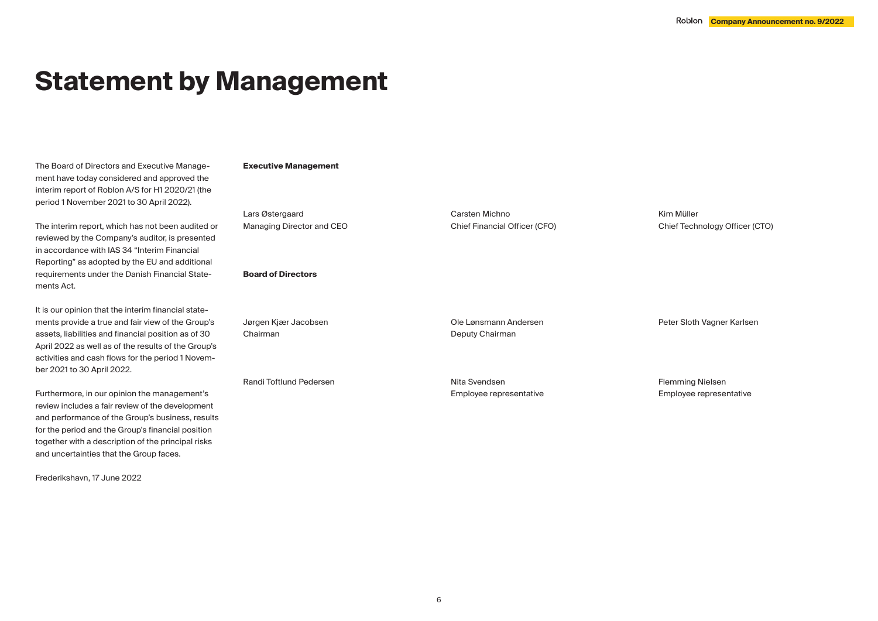# **Statement by Management**

The Board of Directors and Executive Management have today considered and approved the interim report of Roblon A/S for H1 2020/21 (the period 1 November 2021 to 30 April 2022).

The interim report, which has not been audited or reviewed by the Company's auditor, is presented in accordance with IAS 34 "Interim Financial Reporting" as adopted by the EU and additional requirements under the Danish Financial Statements Act.

It is our opinion that the interim financial statements provide a true and fair view of the Group's assets, liabilities and financial position as of 30 April 2022 as well as of the results of the Group's activities and cash flows for the period 1 November 2021 to 30 April 2022.

Furthermore, in our opinion the management's review includes a fair review of the development and performance of the Group's business, results for the period and the Group's financial position together with a description of the principal risks and uncertainties that the Group faces.

Frederikshavn, 17 June 2022

### **Executive Management**

Lars Østergaard Managing Director and CEO

### **Board of Directors**

Jørgen Kjær Jacobsen Chairman Ole Lønsmann Andersen Deputy Chairman

Randi Toftlund Pedersen

Nita Svendsen Employee representative

Carsten Michno

Chief Financial Officer (CFO)

Kim Müller Chief Technology Officer (CTO)

Flemming Nielsen Employee representative

Peter Sloth Vagner Karlsen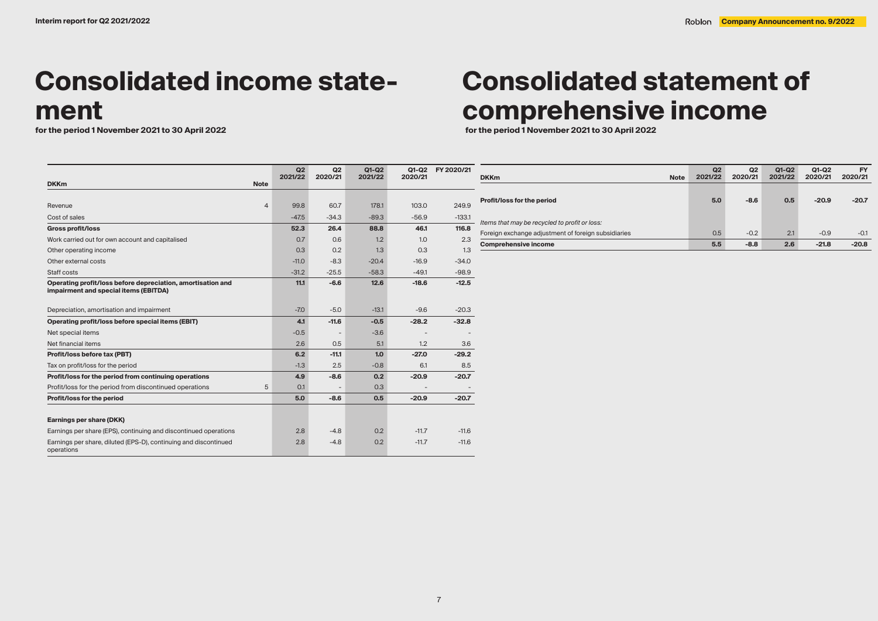# **Consolidated income statement**<br>for the period 1 November 2021 to 30 April 2022

#### **DKKm Note Q2 2021/22 Q2 2020/21 Q1-Q2 2021/22 Q1-Q2 FY 2020/21 2020/21** Revenue 4 99.8 60.7 178.1 103.0 249.9 Cost of sales -47.5 -34.3 -34.3 -89.3 -56.9 -133.1 -34.5 -34.3 - 56.9 -133.1 -133.1 -133.1 -133.1 -133.1 -133 **Gross profit/loss 52.3 26.4 88.8 46.1 116.8** Work carried out for own account and capitalised 0.7 0.6 1.2 1.0 2.3 Other operating income 0.3 0.2 1.3 0.3 1.3 1.3 Other external costs -11.0 -8.3 -20.4 -11.0 -8.3 -20.4 -11.9 -8.3 -16.9 -20.4 -34.0 -34.0 -34.0 -34.0 -34.0 -34 Staff costs -31.2 -25.5 -58.3 -49.1 -98.9 -98.9 -58.3 -58.3 -58.3 -58.3 -58.3 -58.3 -58.9 -98.9 -98.9 -98.9 -9 **Operating profit/loss before depreciation, amortisation and impairment and special items (EBITDA) 11.1 -6.6 12.6 -18.6 -12.5** Depreciation, amortisation and impairment  $-7.0$  -5.0  $-13.1$  -9.6  $-20.3$ **Operating profit/loss before special items (EBIT) 4.1 -11.6 -0.5 -28.2 -32.8** Net special items  $\sim$  -5  $\sim$  -3.6  $\sim$  -3.6  $\sim$  -3.6  $\sim$  - $\sim$  - $\sim$  - $\sim$  - $\sim$  - $\sim$  - $\sim$  - $\sim$  - $\sim$  - $\sim$  - $\sim$  - $\sim$  - $\sim$  - $\sim$  - $\sim$  - $\sim$  - $\sim$  - $\sim$  - $\sim$  - $\sim$  - $\sim$  - $\sim$  - $\sim$  - $\sim$  - $\sim$  - $\sim$  - $\sim$  - $\sim$ Net financial items  $3.6$  3.6  $2.6$  0.5  $5.1$  1.2  $3.6$ **Profit/loss before tax (PBT) 6.2 -11.1 1.0 -27.0 -29.2** Tax on profit/loss for the period and the control of the control of the control of the control of the control of the control of the control of the control of the control of the control of the control of the control of the **Profit/loss for the period from continuing operations 4.9 -8.6 0.2 -20.9 -20.7** Profit/loss for the period from discontinued operations  $5$  0.1 - 0.3 **Profit/loss for the period 5.0 -8.6 0.5 -20.9 -20.7 Earnings per share (DKK)** Earnings per share (EPS), continuing and discontinued operations  $2.8$  -4.8 0.2 -11.7 -11.6 Earnings per share, diluted (EPS-D), continuing and discontinued operations 2.8 -4.8 0.2 -11.7 -11.6

# **Consolidated statement of comprehensive income**

**for the period 1 November 2021 to 30 April 2022 for the period 1 November 2021 to 30 April 2022**

|                                                     | Q2      | Q <sub>2</sub> | $Q1-Q2$ | Q1-Q2   | <b>FY</b> |
|-----------------------------------------------------|---------|----------------|---------|---------|-----------|
| <b>Note</b><br><b>DKKm</b>                          | 2021/22 | 2020/21        | 2021/22 | 2020/21 | 2020/21   |
|                                                     |         |                |         |         |           |
| Profit/loss for the period                          | 5.0     | $-8.6$         | 0.5     | $-20.9$ | $-20.7$   |
|                                                     |         |                |         |         |           |
| - Items that may be recycled to profit or loss:     |         |                |         |         |           |
| Foreign exchange adjustment of foreign subsidiaries | 0.5     | $-0.2$         | 2.1     | $-0.9$  | $-0.1$    |
| <b>Comprehensive income</b>                         | 5.5     | $-8.8$         | 2.6     | $-21.8$ | $-20.8$   |
|                                                     |         |                |         |         |           |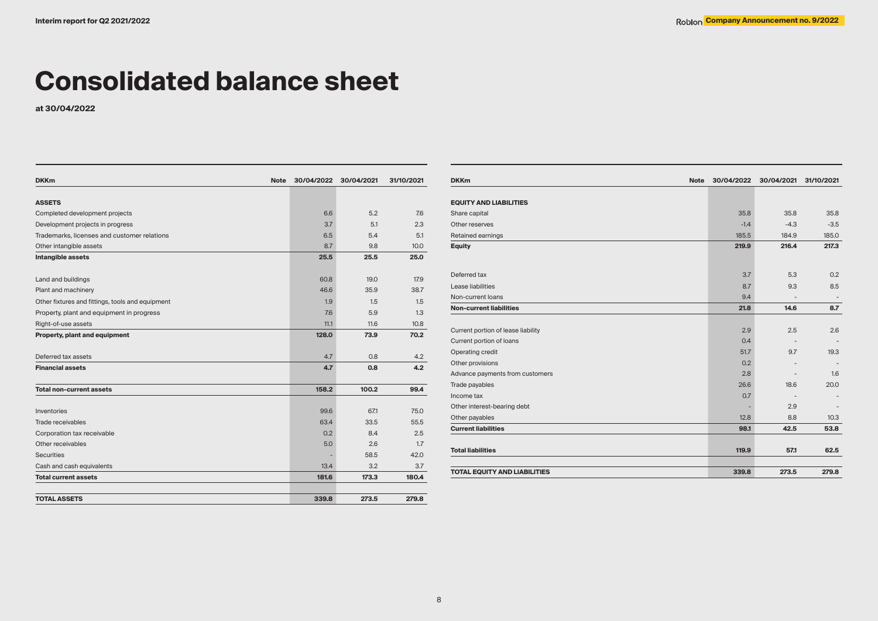# **Consolidated balance sheet**

**at 30/04/2022**

| <b>DKKm</b><br><b>Note</b>                       | 30/04/2022 | 30/04/2021 | 31/10/2021 |
|--------------------------------------------------|------------|------------|------------|
| <b>ASSETS</b>                                    |            |            |            |
|                                                  |            | 5.2        | 7.6        |
| Completed development projects                   | 6.6        | 5.1        | 2.3        |
| Development projects in progress                 | 3.7        |            | 5.1        |
| Trademarks, licenses and customer relations      | 6.5        | 5.4        |            |
| Other intangible assets                          | 8.7        | 9.8        | 10.0       |
| Intangible assets                                | 25.5       | 25.5       | 25.0       |
| Land and buildings                               | 60.8       | 19.0       | 17.9       |
| Plant and machinery                              | 46.6       | 35.9       | 38.7       |
| Other fixtures and fittings, tools and equipment | 1.9        | 1.5        | 1.5        |
| Property, plant and equipment in progress        | 7.6        | 5.9        | 1.3        |
| Right-of-use assets                              | 11.1       | 11.6       | 10.8       |
| Property, plant and equipment                    | 128.0      | 73.9       | 70.2       |
| Deferred tax assets                              | 4.7        | 0.8        | 4.2        |
| <b>Financial assets</b>                          | 4.7        | 0.8        | 4.2        |
| <b>Total non-current assets</b>                  | 158.2      | 100.2      | 99.4       |
| Inventories                                      | 99.6       | 671        | 75.0       |
| Trade receivables                                | 63.4       | 33.5       | 55.5       |
| Corporation tax receivable                       | 0.2        | 8.4        | 2.5        |
| Other receivables                                | 5.0        | 2.6        | 1.7        |
| <b>Securities</b>                                |            | 58.5       | 42.0       |
| Cash and cash equivalents                        | 13.4       | 3.2        | 3.7        |
| <b>Total current assets</b>                      | 181.6      | 173.3      | 180.4      |
|                                                  |            |            |            |
| <b>TOTAL ASSETS</b>                              | 339.8      | 273.5      | 279.8      |

| <b>DKKm</b><br><b>Note</b>          | 30/04/2022 | 30/04/2021               | 31/10/2021               |
|-------------------------------------|------------|--------------------------|--------------------------|
|                                     |            |                          |                          |
| <b>EQUITY AND LIABILITIES</b>       |            |                          |                          |
| Share capital                       | 35.8       | 35.8                     | 35.8                     |
| Other reserves                      | $-1.4$     | $-4.3$                   | $-3.5$                   |
| Retained earnings                   | 185.5      | 184.9                    | 185.0                    |
| <b>Equity</b>                       | 219.9      | 216.4                    | 217.3                    |
|                                     |            |                          |                          |
| Deferred tax                        | 3.7        | 5.3                      | 0.2                      |
| Lease liabilities                   | 8.7        | 9.3                      | 8.5                      |
| Non-current loans                   | 9.4        | $\overline{\phantom{a}}$ | $\overline{\phantom{a}}$ |
| <b>Non-current liabilities</b>      | 21.8       | 14.6                     | 8.7                      |
|                                     |            |                          |                          |
| Current portion of lease liability  | 2.9        | 2.5                      | 2.6                      |
| Current portion of loans            | 0.4        |                          |                          |
| Operating credit                    | 51.7       | 9.7                      | 19.3                     |
| Other provisions                    | 0.2        |                          |                          |
| Advance payments from customers     | 2.8        |                          | 1.6                      |
| Trade payables                      | 26.6       | 18.6                     | 20.0                     |
| Income tax                          | 0.7        | $\overline{\phantom{a}}$ |                          |
| Other interest-bearing debt         |            | 2.9                      |                          |
| Other payables                      | 12.8       | 8.8                      | 10.3                     |
| <b>Current liabilities</b>          | 98.1       | 42.5                     | 53.8                     |
|                                     |            |                          |                          |
| <b>Total liabilities</b>            | 119.9      | 57.1                     | 62.5                     |
|                                     |            |                          |                          |
| <b>TOTAL EQUITY AND LIABILITIES</b> | 339.8      | 273.5                    | 279.8                    |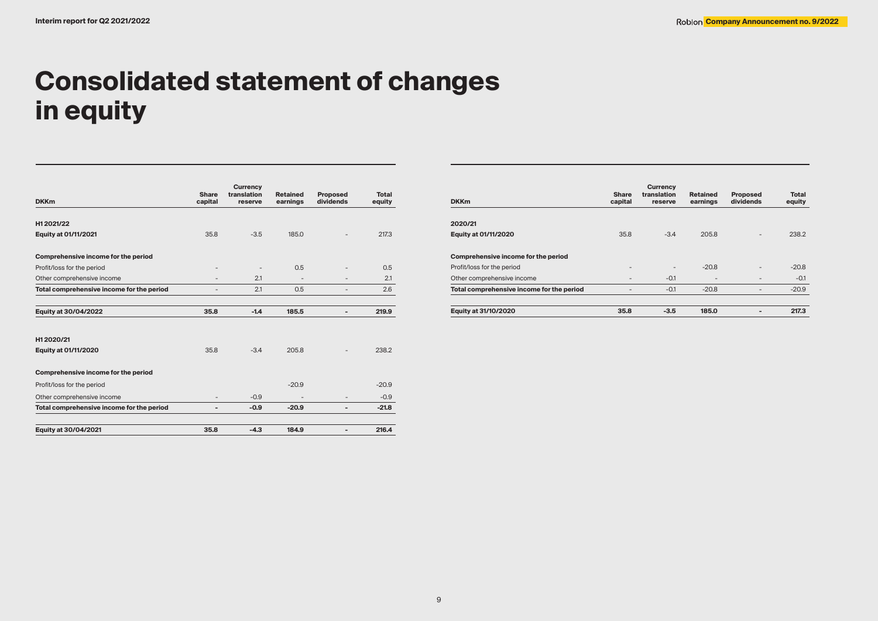# **Consolidated statement of changes in equity**

| <b>DKKm</b>                               | Share<br>capital | <b>Currency</b><br>translation<br>reserve | <b>Retained</b><br>earnings | <b>Proposed</b><br>dividends | Total<br>equity |
|-------------------------------------------|------------------|-------------------------------------------|-----------------------------|------------------------------|-----------------|
| H12021/22                                 |                  |                                           |                             |                              |                 |
| <b>Equity at 01/11/2021</b>               | 35.8             | $-3.5$                                    | 185.0                       |                              | 217.3           |
| Comprehensive income for the period       |                  |                                           |                             |                              |                 |
| Profit/loss for the period                |                  |                                           | 0.5                         |                              | 0.5             |
| Other comprehensive income                |                  | 2.1                                       |                             |                              | 2.1             |
| Total comprehensive income for the period |                  | 2.1                                       | 0.5                         |                              | 2.6             |
| Equity at 30/04/2022                      | 35.8             | $-1.4$                                    | 185.5                       | -                            | 219.9           |
| H12020/21                                 |                  |                                           |                             |                              |                 |
| Equity at 01/11/2020                      | 35.8             | $-3.4$                                    | 205.8                       |                              | 238.2           |
| Comprehensive income for the period       |                  |                                           |                             |                              |                 |
| Profit/loss for the period                |                  |                                           | $-20.9$                     |                              | $-20.9$         |
| Other comprehensive income                |                  | $-0.9$                                    |                             | -                            | $-0.9$          |
| Total comprehensive income for the period | -                | $-0.9$                                    | $-20.9$                     | -                            | $-21.8$         |
| Equity at 30/04/2021                      | 35.8             | $-4.3$                                    | 184.9                       | -                            | 216.4           |

| <b>DKKm</b>                               | <b>Share</b><br>capital  | <b>Currency</b><br>translation<br>reserve | <b>Retained</b><br>earnings | <b>Proposed</b><br>dividends | <b>Total</b><br>equity |
|-------------------------------------------|--------------------------|-------------------------------------------|-----------------------------|------------------------------|------------------------|
| 2020/21                                   |                          |                                           |                             |                              |                        |
| <b>Equity at 01/11/2020</b>               | 35.8                     | $-3.4$                                    | 205.8                       |                              | 238.2                  |
| Comprehensive income for the period       |                          |                                           |                             |                              |                        |
| Profit/loss for the period                | $\overline{\phantom{0}}$ | $\overline{\phantom{a}}$                  | $-20.8$                     | $\overline{\phantom{0}}$     | $-20.8$                |
| Other comprehensive income                | -                        | $-0.1$                                    | ۰                           |                              | $-0.1$                 |
| Total comprehensive income for the period | -                        | $-0.1$                                    | $-20.8$                     |                              | $-20.9$                |
| <b>Equity at 31/10/2020</b>               | 35.8                     | $-3.5$                                    | 185.0                       | -                            | 217.3                  |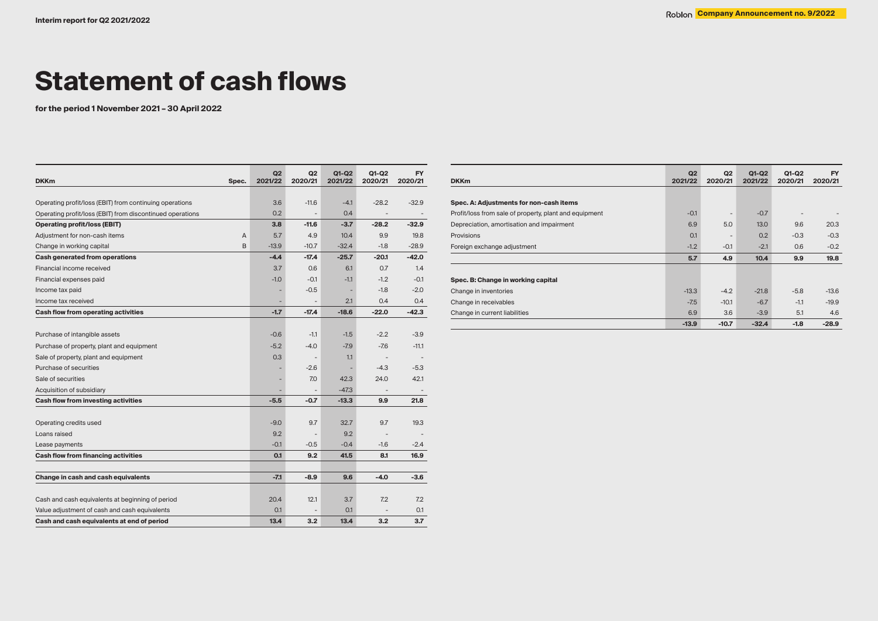# **Statement of cash flows**

**for the period 1 November 2021 – 30 April 2022**

| <b>DKKm</b><br>Spec.                                      | Q2<br>2021/22 | Q2<br>2020/21            | $Q1-Q2$<br>2021/22 | $Q1-Q2$<br>2020/21       | <b>FY</b><br>2020/21 |
|-----------------------------------------------------------|---------------|--------------------------|--------------------|--------------------------|----------------------|
|                                                           |               |                          |                    |                          |                      |
| Operating profit/loss (EBIT) from continuing operations   | 3.6           | $-11.6$                  | $-4.1$             | $-28.2$                  | $-32.9$              |
| Operating profit/loss (EBIT) from discontinued operations | 0.2           |                          | 0.4                |                          |                      |
| <b>Operating profit/loss (EBIT)</b>                       | 3.8           | $-11.6$                  | $-3.7$             | $-28.2$                  | $-32.9$              |
| Adjustment for non-cash items<br>А                        | 5.7           | 4.9                      | 10.4               | 9.9                      | 19.8                 |
| B<br>Change in working capital                            | $-13.9$       | $-10.7$                  | $-32.4$            | $-1.8$                   | $-28.9$              |
| Cash generated from operations                            | $-4.4$        | $-17.4$                  | $-25.7$            | -20.1                    | $-42.0$              |
| Financial income received                                 | 3.7           | 0.6                      | 6.1                | 0.7                      | 1.4                  |
| Financial expenses paid                                   | $-1.0$        | $-0.1$                   | $-1.1$             | $-1.2$                   | $-0.1$               |
| Income tax paid                                           | ٠             | $-0.5$                   | ٠                  | $-1.8$                   | $-2.0$               |
| Income tax received                                       | ٠             | $\overline{a}$           | 2.1                | 0.4                      | 0.4                  |
| Cash flow from operating activities                       | $-1.7$        | $-17.4$                  | $-18.6$            | $-22.0$                  | $-42.3$              |
|                                                           |               |                          |                    |                          |                      |
| Purchase of intangible assets                             | $-0.6$        | $-1.1$                   | $-1.5$             | $-2.2$                   | $-3.9$               |
| Purchase of property, plant and equipment                 | $-5.2$        | $-4.0$                   | $-7.9$             | $-7.6$                   | $-11.1$              |
| Sale of property, plant and equipment                     | 0.3           | $\overline{\phantom{a}}$ | 1.1                | $\overline{\phantom{a}}$ |                      |
| Purchase of securities                                    | ٠             | $-2.6$                   | -                  | $-4.3$                   | $-5.3$               |
| Sale of securities                                        | ٠             | 7.0                      | 42.3               | 24.0                     | 42.1                 |
| Acquisition of subsidiary                                 | ۰             |                          | $-47.3$            |                          |                      |
| Cash flow from investing activities                       | $-5.5$        | $-0.7$                   | $-13.3$            | 9.9                      | 21.8                 |
|                                                           |               |                          |                    |                          |                      |
| Operating credits used                                    | $-9.0$        | 9.7                      | 32.7               | 9.7                      | 19.3                 |
| Loans raised                                              | 9.2           | $\qquad \qquad -$        | 9.2                |                          |                      |
| Lease payments                                            | $-0.1$        | $-0.5$                   | $-0.4$             | $-1.6$                   | $-2.4$               |
| Cash flow from financing activities                       | 0.1           | 9.2                      | 41.5               | 8.1                      | 16.9                 |
|                                                           |               |                          |                    |                          |                      |
| Change in cash and cash equivalents                       | $-7.1$        | $-8.9$                   | 9.6                | $-4.0$                   | $-3.6$               |
| Cash and cash equivalents at beginning of period          | 20.4          | 12.1                     | 3.7                | 7.2                      | 7.2                  |
| Value adjustment of cash and cash equivalents             | 0.1           |                          | 0.1                |                          | 0.1                  |
| Cash and cash equivalents at end of period                | 13.4          | 3.2                      | 13.4               | 3.2                      | 3.7                  |

| <b>DKKm</b>                                            | Q2<br>2021/22 | Q2<br>2020/21 | Q1-Q2<br>2021/22 | Q1-Q2<br>2020/21 | <b>FY</b><br>2020/21 |
|--------------------------------------------------------|---------------|---------------|------------------|------------------|----------------------|
|                                                        |               |               |                  |                  |                      |
| Spec. A: Adjustments for non-cash items                |               |               |                  |                  |                      |
| Profit/loss from sale of property, plant and equipment | $-0.1$        | ٠             | $-0.7$           |                  |                      |
| Depreciation, amortisation and impairment              | 6.9           | 5.0           | 13.0             | 9.6              | 20.3                 |
| Provisions                                             | O.1           | ۰             | 0.2              | $-0.3$           | $-0.3$               |
| Foreign exchange adjustment                            | $-1.2$        | $-0.1$        | $-2.1$           | 0.6              | $-0.2$               |
|                                                        | 5.7           | 4.9           | 10.4             | 9.9              | 19.8                 |
|                                                        |               |               |                  |                  |                      |
| Spec. B: Change in working capital                     |               |               |                  |                  |                      |
| Change in inventories                                  | $-13.3$       | $-4.2$        | $-21.8$          | $-5.8$           | $-13.6$              |
| Change in receivables                                  | $-7.5$        | $-10.1$       | $-6.7$           | $-1.1$           | $-19.9$              |
| Change in current liabilities                          | 6.9           | 3.6           | $-3.9$           | 5.1              | 4.6                  |
|                                                        | $-13.9$       | $-10.7$       | $-32.4$          | $-1.8$           | $-28.9$              |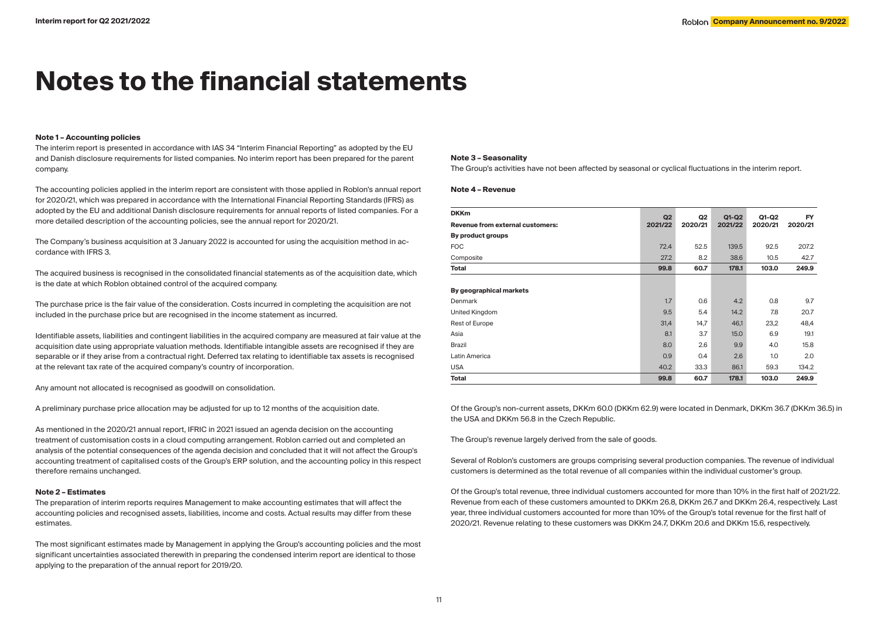# **Notes to the financial statements**

#### **Note 1 – Accounting policies**

The interim report is presented in accordance with IAS 34 "Interim Financial Reporting" as adopted by the EU and Danish disclosure requirements for listed companies. No interim report has been prepared for the parent company.

The accounting policies applied in the interim report are consistent with those applied in Roblon's annual report for 2020/21, which was prepared in accordance with the International Financial Reporting Standards (IFRS) as adopted by the EU and additional Danish disclosure requirements for annual reports of listed companies. For a more detailed description of the accounting policies, see the annual report for 2020/21.

The Company's business acquisition at 3 January 2022 is accounted for using the acquisition method in accordance with IFRS 3.

The acquired business is recognised in the consolidated financial statements as of the acquisition date, which is the date at which Roblon obtained control of the acquired company.

The purchase price is the fair value of the consideration. Costs incurred in completing the acquisition are not included in the purchase price but are recognised in the income statement as incurred.

Identifiable assets, liabilities and contingent liabilities in the acquired company are measured at fair value at the acquisition date using appropriate valuation methods. Identifiable intangible assets are recognised if they are separable or if they arise from a contractual right. Deferred tax relating to identifiable tax assets is recognised at the relevant tax rate of the acquired company's country of incorporation.

Any amount not allocated is recognised as goodwill on consolidation.

A preliminary purchase price allocation may be adjusted for up to 12 months of the acquisition date.

As mentioned in the 2020/21 annual report, IFRIC in 2021 issued an agenda decision on the accounting treatment of customisation costs in a cloud computing arrangement. Roblon carried out and completed an analysis of the potential consequences of the agenda decision and concluded that it will not affect the Group's accounting treatment of capitalised costs of the Group's ERP solution, and the accounting policy in this respect therefore remains unchanged.

#### **Note 2 – Estimates**

The preparation of interim reports requires Management to make accounting estimates that will affect the accounting policies and recognised assets, liabilities, income and costs. Actual results may differ from these estimates.

The most significant estimates made by Management in applying the Group's accounting policies and the most significant uncertainties associated therewith in preparing the condensed interim report are identical to those applying to the preparation of the annual report for 2019/20.

#### **Note 3 – Seasonality**

The Group's activities have not been affected by seasonal or cyclical fluctuations in the interim report.

#### **Note 4 – Revenue**

| <b>DKKm</b>                      |               | Q <sub>2</sub> | $Q1-Q2$ | Q1-Q2   | <b>FY</b> |
|----------------------------------|---------------|----------------|---------|---------|-----------|
| Revenue from external customers: | Q2<br>2021/22 | 2020/21        | 2021/22 | 2020/21 | 2020/21   |
| By product groups                |               |                |         |         |           |
| <b>FOC</b>                       | 72.4          | 52.5           | 139.5   | 92.5    | 207.2     |
| Composite                        | 27.2          | 8.2            | 38.6    | 10.5    | 42.7      |
| <b>Total</b>                     | 99.8          | 60.7           | 178.1   | 103.0   | 249.9     |
|                                  |               |                |         |         |           |
| By geographical markets          |               |                |         |         |           |
| Denmark                          | 1.7           | 0.6            | 4.2     | 0.8     | 9.7       |
| United Kingdom                   | 9.5           | 5.4            | 14.2    | 7.8     | 20.7      |
| Rest of Europe                   | 31,4          | 14,7           | 46,1    | 23,2    | 48,4      |
| Asia                             | 8.1           | 3.7            | 15.0    | 6.9     | 19.1      |
| Brazil                           | 8.0           | 2.6            | 9.9     | 4.0     | 15.8      |
| Latin America                    | 0.9           | 0.4            | 2.6     | 1.0     | 2.0       |
| <b>USA</b>                       | 40.2          | 33.3           | 86.1    | 59.3    | 134.2     |
| <b>Total</b>                     | 99.8          | 60.7           | 178.1   | 103.0   | 249.9     |

Of the Group's non-current assets, DKKm 60.0 (DKKm 62.9) were located in Denmark, DKKm 36.7 (DKKm 36.5) in the USA and DKKm 56.8 in the Czech Republic.

The Group's revenue largely derived from the sale of goods.

Several of Roblon's customers are groups comprising several production companies. The revenue of individual customers is determined as the total revenue of all companies within the individual customer's group.

Of the Group's total revenue, three individual customers accounted for more than 10% in the first half of 2021/22. Revenue from each of these customers amounted to DKKm 26.8, DKKm 26.7 and DKKm 26.4, respectively. Last year, three individual customers accounted for more than 10% of the Group's total revenue for the first half of 2020/21. Revenue relating to these customers was DKKm 24.7, DKKm 20.6 and DKKm 15.6, respectively.